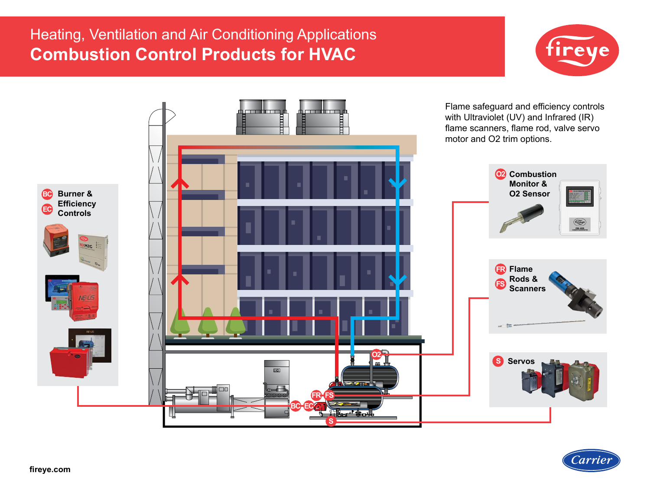# Heating, Ventilation and Air Conditioning Applications **Combustion Control Products for HVAC**